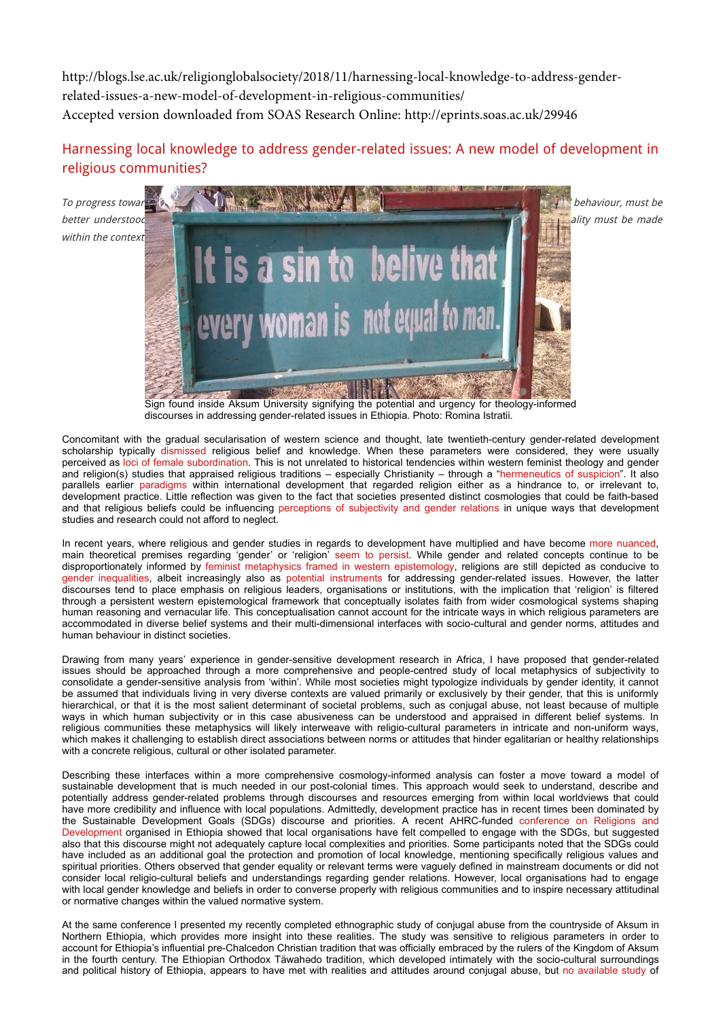[http://blogs.lse.ac.uk/religionglobalsociety/2018/11/harnessing-local-knowledge-to-address-gender](http://blogs.lse.ac.uk/religionglobalsociety/2018/11/harnessing-local-knowledge-to-address-gender-related-issues-a-new-model-of-development-in-religious-communities/)related-issues-a-new-model-of-development-in-religious-communities/ Accepted version downloaded from SOAS Research Online: http://eprints.soas.ac.uk/29946

## Harnessing local knowledge to address gender-related issues: A new model of development in religious communities?

within the context



Sign found inside Aksum University signifying the potential and urgency for theology-informed

discourses in addressing gender-related issues in Ethiopia. Photo: Romina Istratii.

Concomitant with the gradual secularisation of western science and thought, late twentieth-century gender-related development scholarship typically [dismissed](https://www.developmentbookshelf.com/doi/pdf/10.3362/9780855987541.000) religious belief and knowledge. When these parameters were considered, they were usually perceived as [loci of female subordination](https://s3.amazonaws.com/berkley-center/080501ChallengesChangeFaithGenderDevelopment.pdf). This is not unrelated to historical tendencies within western feminist theology and gender and religion(s) studies that appraised religious traditions – especially Christianity – through a ["hermeneutics of suspicion"](http://eprints.soas.ac.uk/26310/). It also parallels earlier [paradigms](http://www.povertystudies.org/TeachingPages/EDS_PDFs4WEB/Deneulin_Revisiting%20Religion:%20Development%20Studies%2030%20Yrs%20On.pdf) within international development that regarded religion either as a hindrance to, or irrelevant to, development practice. Little reflection was given to the fact that societies presented distinct cosmologies that could be faith-based and that religious beliefs could be influencing [perceptions of subjectivity and gender relations](http://epapers.bham.ac.uk/1535/1/Tomalin-_GenderRelDev.pdf) in unique ways that development studies and research could not afford to neglect.

In recent years, where religious and gender studies in regards to development have multiplied and have become [more nuanced](https://www.routledgehandbooks.com/doi/10.4324/9780203694442), main theoretical premises regarding 'gender' or 'religion' [seem to persist](https://eprints.soas.ac.uk/26353/). While gender and related concepts continue to be disproportionately informed by [feminist metaphysics framed in western epistemology,](https://eprints.soas.ac.uk/26521/) religions are still depicted as conducive to [gender inequalities,](https://www.jstor.org/stable/20461157?seq=1#page_scan_tab_contents) albeit increasingly also as [potential instruments](https://www.researchgate.net/publication/307964142_Getting_dirty_Working_with_Faith_Leaders_to_Prevent_and_Respond_to_Gender-Based_Violence) for addressing gender-related issues. However, the latter discourses tend to place emphasis on religious leaders, organisations or institutions, with the implication that 'religion' is filtered through a persistent western epistemological framework that conceptually isolates faith from wider cosmological systems shaping human reasoning and vernacular life. This conceptualisation cannot account for the intricate ways in which religious parameters are accommodated in diverse belief systems and their multi-dimensional interfaces with socio-cultural and gender norms, attitudes and human behaviour in distinct societies.

Drawing from many years' experience in gender-sensitive development research in Africa, I have proposed that gender-related issues should be approached through a more comprehensive and people-centred study of local metaphysics of subjectivity to consolidate a gender-sensitive analysis from 'within'. While most societies might typologize individuals by gender identity, it cannot be assumed that individuals living in very diverse contexts are valued primarily or exclusively by their gender, that this is uniformly hierarchical, or that it is the most salient determinant of societal problems, such as conjugal abuse, not least because of multiple ways in which human subjectivity or in this case abusiveness can be understood and appraised in different belief systems. In religious communities these metaphysics will likely interweave with religio-cultural parameters in intricate and non-uniform ways, which makes it challenging to establish direct associations between norms or attitudes that hinder egalitarian or healthy relationships with a concrete religious, cultural or other isolated parameter.

Describing these interfaces within a more comprehensive cosmology-informed analysis can foster a move toward a model of sustainable development that is much needed in our post-colonial times. This approach would seek to understand, describe and potentially address gender-related problems through discourses and resources emerging from within local worldviews that could have more credibility and influence with local populations. Admittedly, development practice has in recent times been dominated by [the Sustainable Development Goals \(SDGs\) discourse and priorities. A recent AHRC-funded conference on Religions and](https://religions-and-development.leeds.ac.uk/events/keeping-faith-in-2030-ethiopia-conference/) Development organised in Ethiopia showed that local organisations have felt compelled to engage with the SDGs, but suggested also that this discourse might not adequately capture local complexities and priorities. Some participants noted that the SDGs could have included as an additional goal the protection and promotion of local knowledge, mentioning specifically religious values and spiritual priorities. Others observed that gender equality or relevant terms were vaguely defined in mainstream documents or did not consider local religio-cultural beliefs and understandings regarding gender relations. However, local organisations had to engage with local gender knowledge and beliefs in order to converse properly with religious communities and to inspire necessary attitudinal or normative changes within the valued normative system.

At the same conference I presented my recently completed ethnographic study of conjugal abuse from the countryside of Aksum in Northern Ethiopia, which provides more insight into these realities. The study was sensitive to religious parameters in order to account for Ethiopia's influential pre-Chalcedon Christian tradition that was officially embraced by the rulers of the Kingdom of Aksum in the fourth century. The Ethiopian Orthodox Täwahədo tradition, which developed intimately with the socio-cultural surroundings and political history of Ethiopia, appears to have met with realities and attitudes around conjugal abuse, but [no available study](https://cfee.hypotheses.org/2445) of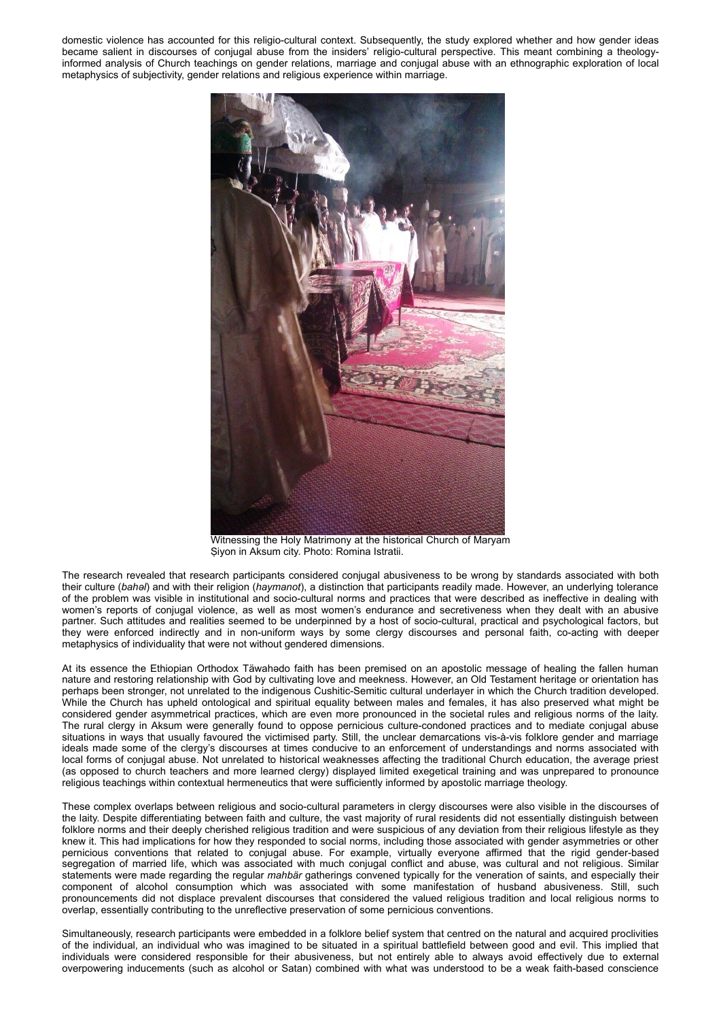domestic violence has accounted for this religio-cultural context. Subsequently, the study explored whether and how gender ideas became salient in discourses of conjugal abuse from the insiders' religio-cultural perspective. This meant combining a theologyinformed analysis of Church teachings on gender relations, marriage and conjugal abuse with an ethnographic exploration of local metaphysics of subjectivity, gender relations and religious experience within marriage.



Witnessing the Holy Matrimony at the historical Church of Maryam Ṣiyon in Aksum city. Photo: Romina Istratii.

The research revealed that research participants considered conjugal abusiveness to be wrong by standards associated with both their culture (*bahəl*) and with their religion (*haymanot*), a distinction that participants readily made. However, an underlying tolerance of the problem was visible in institutional and socio-cultural norms and practices that were described as ineffective in dealing with women's reports of conjugal violence, as well as most women's endurance and secretiveness when they dealt with an abusive partner. Such attitudes and realities seemed to be underpinned by a host of socio-cultural, practical and psychological factors, but they were enforced indirectly and in non-uniform ways by some clergy discourses and personal faith, co-acting with deeper metaphysics of individuality that were not without gendered dimensions.

At its essence the Ethiopian Orthodox Täwahədo faith has been premised on an apostolic message of healing the fallen human nature and restoring relationship with God by cultivating love and meekness. However, an Old Testament heritage or orientation has perhaps been stronger, not unrelated to the indigenous Cushitic-Semitic cultural underlayer in which the Church tradition developed. While the Church has upheld ontological and spiritual equality between males and females, it has also preserved what might be considered gender asymmetrical practices, which are even more pronounced in the societal rules and religious norms of the laity. The rural clergy in Aksum were generally found to oppose pernicious culture-condoned practices and to mediate conjugal abuse situations in ways that usually favoured the victimised party. Still, the unclear demarcations vis-à-vis folklore gender and marriage ideals made some of the clergy's discourses at times conducive to an enforcement of understandings and norms associated with local forms of conjugal abuse. Not unrelated to historical weaknesses affecting the traditional Church education, the average priest (as opposed to church teachers and more learned clergy) displayed limited exegetical training and was unprepared to pronounce religious teachings within contextual hermeneutics that were sufficiently informed by apostolic marriage theology.

These complex overlaps between religious and socio-cultural parameters in clergy discourses were also visible in the discourses of the laity. Despite differentiating between faith and culture, the vast majority of rural residents did not essentially distinguish between folklore norms and their deeply cherished religious tradition and were suspicious of any deviation from their religious lifestyle as they knew it. This had implications for how they responded to social norms, including those associated with gender asymmetries or other pernicious conventions that related to conjugal abuse. For example, virtually everyone affirmed that the rigid gender-based segregation of married life, which was associated with much conjugal conflict and abuse, was cultural and not religious. Similar statements were made regarding the regular *mahbär* gatherings convened typically for the veneration of saints, and especially their component of alcohol consumption which was associated with some manifestation of husband abusiveness. Still, such pronouncements did not displace prevalent discourses that considered the valued religious tradition and local religious norms to overlap, essentially contributing to the unreflective preservation of some pernicious conventions.

Simultaneously, research participants were embedded in a folklore belief system that centred on the natural and acquired proclivities of the individual, an individual who was imagined to be situated in a spiritual battlefield between good and evil. This implied that individuals were considered responsible for their abusiveness, but not entirely able to always avoid effectively due to external overpowering inducements (such as alcohol or Satan) combined with what was understood to be a weak faith-based conscience